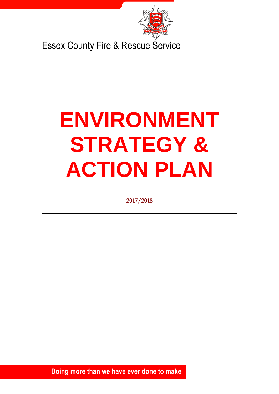

Essex County Fire & Rescue Service

# **ENVIRONMENT STRATEGY & ACTION PLAN**

**2017/2018**

1 **Doing more than we have ever done to make** 

**Essex safe**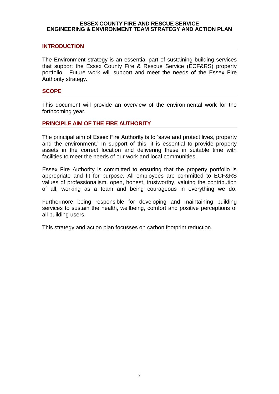#### **ESSEX COUNTY FIRE AND RESCUE SERVICE ENGINEERING & ENVIRONMENT TEAM STRATEGY AND ACTION PLAN**

#### **INTRODUCTION**

The Environment strategy is an essential part of sustaining building services that support the Essex County Fire & Rescue Service (ECF&RS) property portfolio. Future work will support and meet the needs of the Essex Fire Authority strategy.

#### **SCOPE**

This document will provide an overview of the environmental work for the forthcoming year.

#### **PRINCIPLE AIM OF THE FIRE AUTHORITY**

The principal aim of Essex Fire Authority is to 'save and protect lives, property and the environment.' In support of this, it is essential to provide property assets in the correct location and delivering these in suitable time with facilities to meet the needs of our work and local communities.

Essex Fire Authority is committed to ensuring that the property portfolio is appropriate and fit for purpose. All employees are committed to ECF&RS values of professionalism, open, honest, trustworthy, valuing the contribution of all, working as a team and being courageous in everything we do.

Furthermore being responsible for developing and maintaining building services to sustain the health, wellbeing, comfort and positive perceptions of all building users.

This strategy and action plan focusses on carbon footprint reduction.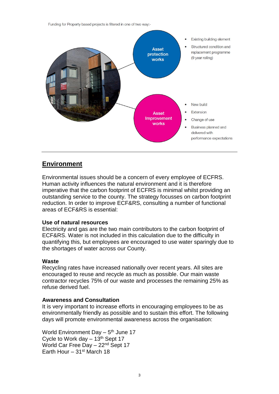Funding for Property based projects is filtered in one of two way:-



# **Environment**

Environmental issues should be a concern of every employee of ECFRS. Human activity influences the natural environment and it is therefore imperative that the carbon footprint of ECFRS is minimal whilst providing an outstanding service to the county. The strategy focusses on carbon footprint reduction. In order to improve ECF&RS, consulting a number of functional areas of ECF&RS is essential:

#### **Use of natural resources**

Electricity and gas are the two main contributors to the carbon footprint of ECF&RS. Water is not included in this calculation due to the difficulty in quantifying this, but employees are encouraged to use water sparingly due to the shortages of water across our County.

#### **Waste**

Recycling rates have increased nationally over recent years. All sites are encouraged to reuse and recycle as much as possible. Our main waste contractor recycles 75% of our waste and processes the remaining 25% as refuse derived fuel.

# **Awareness and Consultation**

It is very important to increase efforts in encouraging employees to be as environmentally friendly as possible and to sustain this effort. The following days will promote environmental awareness across the organisation:

World Environment Day - 5<sup>th</sup> June 17 Cycle to Work day  $-13<sup>th</sup>$  Sept 17 World Car Free Day – 22nd Sept 17 Earth Hour – 31st March 18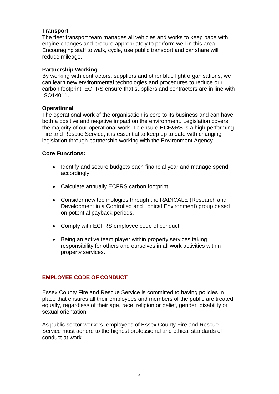# **Transport**

The fleet transport team manages all vehicles and works to keep pace with engine changes and procure appropriately to perform well in this area. Encouraging staff to walk, cycle, use public transport and car share will reduce mileage.

# **Partnership Working**

By working with contractors, suppliers and other blue light organisations, we can learn new environmental technologies and procedures to reduce our carbon footprint. ECFRS ensure that suppliers and contractors are in line with ISO14011.

# **Operational**

The operational work of the organisation is core to its business and can have both a positive and negative impact on the environment. Legislation covers the majority of our operational work. To ensure ECF&RS is a high performing Fire and Rescue Service, it is essential to keep up to date with changing legislation through partnership working with the Environment Agency.

# **Core Functions:**

- Identify and secure budgets each financial year and manage spend accordingly.
- Calculate annually ECFRS carbon footprint.
- Consider new technologies through the RADICALE (Research and Development in a Controlled and Logical Environment) group based on potential payback periods.
- Comply with ECFRS employee code of conduct.
- Being an active team player within property services taking responsibility for others and ourselves in all work activities within property services.

# **EMPLOYEE CODE OF CONDUCT**

Essex County Fire and Rescue Service is committed to having policies in place that ensures all their employees and members of the public are treated equally, regardless of their age, race, religion or belief, gender, disability or sexual orientation.

As public sector workers, employees of Essex County Fire and Rescue Service must adhere to the highest professional and ethical standards of conduct at work.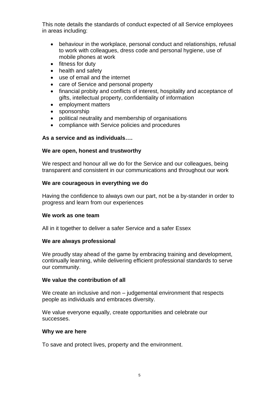This note details the standards of conduct expected of all Service employees in areas including:

- behaviour in the workplace, personal conduct and relationships, refusal to work with colleagues, dress code and personal hygiene, use of mobile phones at work
- fitness for duty
- health and safety
- use of email and the internet
- care of Service and personal property
- financial probity and conflicts of interest, hospitality and acceptance of gifts, intellectual property, confidentiality of information
- employment matters
- sponsorship
- political neutrality and membership of organisations
- compliance with Service policies and procedures

# **As a service and as individuals….**

# **We are open, honest and trustworthy**

We respect and honour all we do for the Service and our colleagues, being transparent and consistent in our communications and throughout our work

# **We are courageous in everything we do**

Having the confidence to always own our part, not be a by-stander in order to progress and learn from our experiences

# **We work as one team**

All in it together to deliver a safer Service and a safer Essex

# **We are always professional**

We proudly stay ahead of the game by embracing training and development, continually learning, while delivering efficient professional standards to serve our community.

# **We value the contribution of all**

We create an inclusive and non – judgemental environment that respects people as individuals and embraces diversity.

We value everyone equally, create opportunities and celebrate our successes.

#### **Why we are here**

To save and protect lives, property and the environment.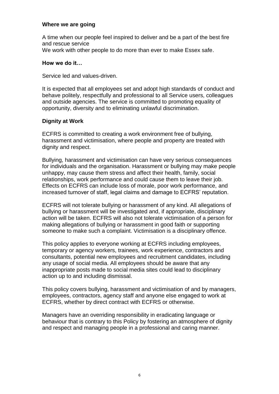# **Where we are going**

A time when our people feel inspired to deliver and be a part of the best fire and rescue service We work with other people to do more than ever to make Essex safe.

# **How we do it…**

Service led and values-driven.

It is expected that all employees set and adopt high standards of conduct and behave politely, respectfully and professional to all Service users, colleagues and outside agencies. The service is committed to promoting equality of opportunity, diversity and to eliminating unlawful discrimination.

# **Dignity at Work**

ECFRS is committed to creating a work environment free of bullying, harassment and victimisation, where people and property are treated with dignity and respect.

Bullying, harassment and victimisation can have very serious consequences for individuals and the organisation. Harassment or bullying may make people unhappy, may cause them stress and affect their health, family, social relationships, work performance and could cause them to leave their job. Effects on ECFRS can include loss of morale, poor work performance, and increased turnover of staff, legal claims and damage to ECFRS' reputation.

ECFRS will not tolerate bullying or harassment of any kind. All allegations of bullying or harassment will be investigated and, if appropriate, disciplinary action will be taken. ECFRS will also not tolerate victimisation of a person for making allegations of bullying or harassment in good faith or supporting someone to make such a complaint. Victimisation is a disciplinary offence.

This policy applies to everyone working at ECFRS including employees, temporary or agency workers, trainees, work experience, contractors and consultants, potential new employees and recruitment candidates, including any usage of social media. All employees should be aware that any inappropriate posts made to social media sites could lead to disciplinary action up to and including dismissal.

This policy covers bullying, harassment and victimisation of and by managers, employees, contractors, agency staff and anyone else engaged to work at ECFRS, whether by direct contract with ECFRS or otherwise.

Managers have an overriding responsibility in eradicating language or behaviour that is contrary to this Policy by fostering an atmosphere of dignity and respect and managing people in a professional and caring manner.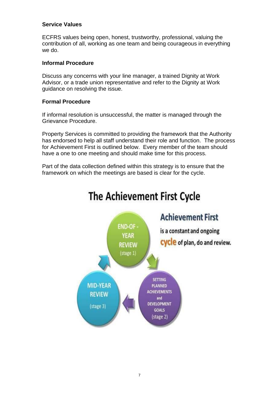# **Service Values**

ECFRS values being open, honest, trustworthy, professional, valuing the contribution of all, working as one team and being courageous in everything we do.

# **Informal Procedure**

Discuss any concerns with your line manager, a trained Dignity at Work Advisor, or a trade union representative and refer to the Dignity at Work guidance on resolving the issue.

# **Formal Procedure**

If informal resolution is unsuccessful, the matter is managed through the Grievance Procedure.

Property Services is committed to providing the framework that the Authority has endorsed to help all staff understand their role and function. The process for Achievement First is outlined below. Every member of the team should have a one to one meeting and should make time for this process.

Part of the data collection defined within this strategy is to ensure that the framework on which the meetings are based is clear for the cycle.



# The Achievement First Cycle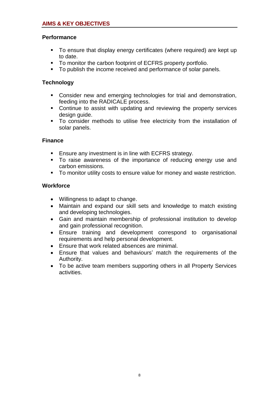# **Performance**

- To ensure that display energy certificates (where required) are kept up to date.
- To monitor the carbon footprint of ECFRS property portfolio.
- To publish the income received and performance of solar panels.

# **Technology**

- Consider new and emerging technologies for trial and demonstration, feeding into the RADICALE process.
- Continue to assist with updating and reviewing the property services design guide.
- To consider methods to utilise free electricity from the installation of solar panels.

# **Finance**

- **Ensure any investment is in line with ECFRS strategy.**
- To raise awareness of the importance of reducing energy use and carbon emissions.
- To monitor utility costs to ensure value for money and waste restriction.

# **Workforce**

- Willingness to adapt to change.
- Maintain and expand our skill sets and knowledge to match existing and developing technologies.
- Gain and maintain membership of professional institution to develop and gain professional recognition.
- Ensure training and development correspond to organisational requirements and help personal development.
- Ensure that work related absences are minimal.
- Ensure that values and behaviours' match the requirements of the Authority.
- To be active team members supporting others in all Property Services activities.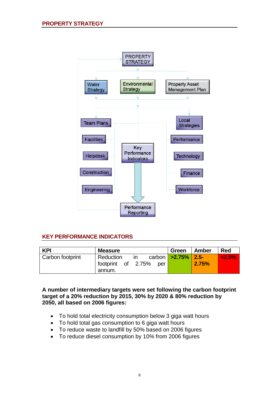

# **KEY PERFORMANCE INDICATORS**

| <b>KPI</b>       | <b>Measure</b>                                                | Green                  | Amber | <b>Red</b> |
|------------------|---------------------------------------------------------------|------------------------|-------|------------|
| Carbon footprint | Reduction<br><b>in</b><br>footprint of 2.75%<br>per<br>annum. | carbon   >2.75%   2.5- | 2.75% | 2.5%       |

**A number of intermediary targets were set following the carbon footprint target of a 20% reduction by 2015, 30% by 2020 & 80% reduction by 2050, all based on 2006 figures:**

- To hold total electricity consumption below 3 giga watt hours
- To hold total gas consumption to 6 giga watt hours
- To reduce waste to landfill by 50% based on 2006 figures
- To reduce diesel consumption by 10% from 2006 figures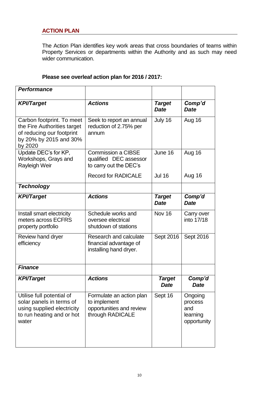# **ACTION PLAN**

The Action Plan identifies key work areas that cross boundaries of teams within Property Services or departments within the Authority and as such may need wider communication.

# **Please see overleaf action plan for 2016 / 2017:**

| <b>Performance</b>                                                                                                         |                                                                                          |                              |                                                      |
|----------------------------------------------------------------------------------------------------------------------------|------------------------------------------------------------------------------------------|------------------------------|------------------------------------------------------|
| <b>KPI/Target</b>                                                                                                          | <b>Actions</b>                                                                           | <b>Target</b><br><b>Date</b> | Comp'd<br><b>Date</b>                                |
| Carbon footprint. To meet<br>the Fire Authorities target<br>of reducing our footprint<br>by 20% by 2015 and 30%<br>by 2020 | Seek to report an annual<br>reduction of 2.75% per<br>annum                              | July 16                      | Aug 16                                               |
| Update DEC's for KP,<br>Workshops, Grays and<br>Rayleigh Weir                                                              | <b>Commission a CIBSE</b><br>qualified DEC assessor<br>to carry out the DEC's            | June 16                      | Aug 16                                               |
|                                                                                                                            | <b>Record for RADICALE</b>                                                               | <b>Jul 16</b>                | Aug 16                                               |
| <b>Technology</b>                                                                                                          |                                                                                          |                              |                                                      |
| <b>KPI/Target</b>                                                                                                          | <b>Actions</b>                                                                           | <b>Target</b><br><b>Date</b> | Comp'd<br><b>Date</b>                                |
| Install smart electricity<br>meters across ECFRS<br>property portfolio                                                     | Schedule works and<br>oversee electrical<br>shutdown of stations                         | Nov 16                       | Carry over<br>into 17/18                             |
| Review hand dryer<br>efficiency                                                                                            | Research and calculate<br>financial advantage of<br>installing hand dryer.               | Sept 2016                    | Sept 2016                                            |
| <b>Finance</b>                                                                                                             |                                                                                          |                              |                                                      |
| <b>KPI/Target</b>                                                                                                          | <b>Actions</b>                                                                           | <b>Target</b><br><b>Date</b> | Comp'd<br><b>Date</b>                                |
| Utilise full potential of<br>solar panels in terms of<br>using supplied electricity<br>to run heating and or hot<br>water  | Formulate an action plan<br>to implement<br>opportunities and review<br>through RADICALE | Sept 16                      | Ongoing<br>process<br>and<br>learning<br>opportunity |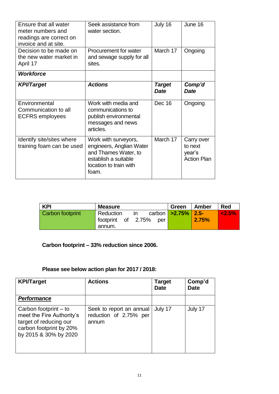| Ensure that all water<br>meter numbers and<br>readings are correct on<br>invoice and at site. | Seek assistance from<br>water section.                                                                                              | July 16                      | June 16                                               |
|-----------------------------------------------------------------------------------------------|-------------------------------------------------------------------------------------------------------------------------------------|------------------------------|-------------------------------------------------------|
| Decision to be made on<br>the new water market in<br>April 17                                 | Procurement for water<br>and sewage supply for all<br>sites.                                                                        | March 17                     | Ongoing                                               |
| <b>Workforce</b>                                                                              |                                                                                                                                     |                              |                                                       |
| <b>KPI/Target</b>                                                                             | <b>Actions</b>                                                                                                                      | <b>Target</b><br><b>Date</b> | Comp'd<br><b>Date</b>                                 |
| Environmental<br>Communication to all<br><b>ECFRS</b> employees                               | Work with media and<br>communications to<br>publish environmental<br>messages and news<br>articles.                                 | Dec 16                       | Ongoing                                               |
| Identify site/sites where<br>training foam can be used                                        | Work with surveyors,<br>engineers, Anglian Water<br>and Thames Water, to<br>establish a suitable<br>location to train with<br>foam. | March 17                     | Carry over<br>to next<br>year's<br><b>Action Plan</b> |

| <b>KPI</b>       | <b>Measure</b>                                         | Green                  | Amber | Red          |
|------------------|--------------------------------------------------------|------------------------|-------|--------------|
| Carbon footprint | Reduction<br>ın<br>footprint of 2.75%<br>per<br>annum. | carbon   >2.75%   2.5- | 2.75% | $\leq 2.5\%$ |

# **Carbon footprint – 33% reduction since 2006.**

# **Please see below action plan for 2017 / 2018:**

| <b>KPI/Target</b>                                                                                                                | <b>Actions</b>                                              | <b>Target</b><br><b>Date</b> | Comp'd<br><b>Date</b> |
|----------------------------------------------------------------------------------------------------------------------------------|-------------------------------------------------------------|------------------------------|-----------------------|
| <b>Performance</b>                                                                                                               |                                                             |                              |                       |
| Carbon footprint – to<br>meet the Fire Authority's<br>target of reducing our<br>carbon footprint by 20%<br>by 2015 & 30% by 2020 | Seek to report an annual<br>reduction of 2.75% per<br>annum | July 17                      | July 17               |